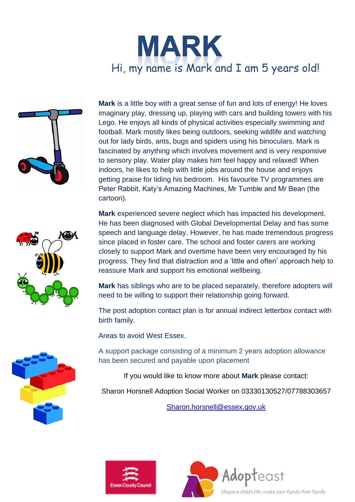



**Mark** is a little boy with a great sense of fun and lots of energy! He loves imaginary play, dressing up, playing with cars and building towers with his Lego. He enjoys all kinds of physical activities especially swimming and football. Mark mostly likes being outdoors, seeking wildlife and watching out for lady birds, ants, bugs and spiders using his binoculars. Mark is fascinated by anything which involves movement and is very responsive to sensory play. Water play makes him feel happy and relaxed! When indoors, he likes to help with little jobs around the house and enjoys getting praise for tiding his bedroom. His favourite TV programmes are Peter Rabbit, Katy's Amazing Machines, Mr Tumble and Mr Bean (the cartoon).



**Mark** has siblings who are to be placed separately, therefore adopters will need to be willing to support their relationship going forward.

The post adoption contact plan is for annual indirect letterbox contact with birth family.

Areas to avoid West Essex.

A support package consisting of a minimum 2 years adoption allowance has been secured and payable upon placement

If you would like to know more about **Mark** please contact:

Sharon Horsnell Adoption Social Worker on 03330130527/07788303657

[Sharon.horsnell@essex.gov.uk](mailto:Sharon.horsnell@essex.gov.uk)